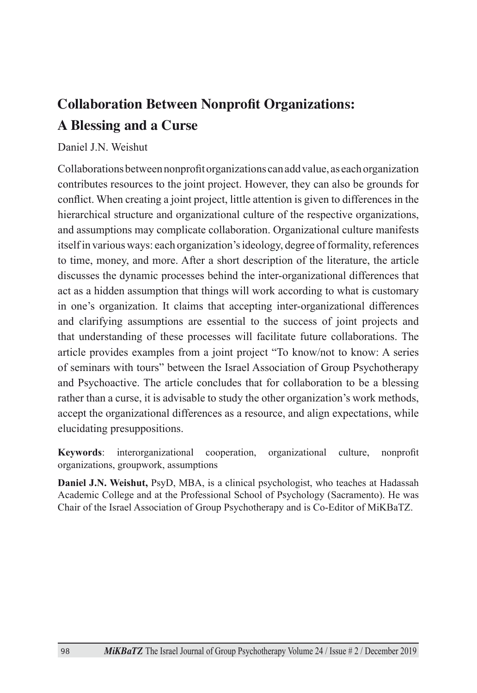## **Collaboration Between Nonprofit Organizations: A Blessing and a Curse**

#### Daniel J.N. Weishut

Collaborations between nonprofit organizations can add value, as each organization contributes resources to the joint project. However, they can also be grounds for conflict. When creating a joint project, little attention is given to differences in the hierarchical structure and organizational culture of the respective organizations, and assumptions may complicate collaboration. Organizational culture manifests itself in various ways: each organization's ideology, degree of formality, references to time, money, and more. After a short description of the literature, the article discusses the dynamic processes behind the inter-organizational differences that act as a hidden assumption that things will work according to what is customary in one's organization. It claims that accepting inter-organizational differences and clarifying assumptions are essential to the success of joint projects and that understanding of these processes will facilitate future collaborations. The article provides examples from a joint project "To know/not to know: A series of seminars with tours" between the Israel Association of Group Psychotherapy and Psychoactive. The article concludes that for collaboration to be a blessing rather than a curse, it is advisable to study the other organization's work methods, accept the organizational differences as a resource, and align expectations, while elucidating presuppositions.

**Keywords**: interorganizational cooperation, organizational culture, nonprofit organizations, groupwork, assumptions

**Daniel J.N. Weishut,** PsyD, MBA, is a clinical psychologist, who teaches at Hadassah Academic College and at the Professional School of Psychology (Sacramento). He was Chair of the Israel Association of Group Psychotherapy and is Co-Editor of MiKBaTZ.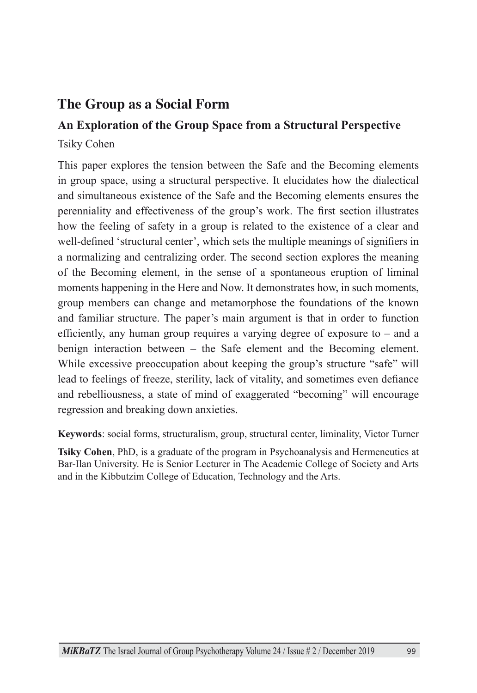### **The Group as a Social Form**

### **An Exploration of the Group Space from a Structural Perspective**

Tsiky Cohen

This paper explores the tension between the Safe and the Becoming elements in group space, using a structural perspective. It elucidates how the dialectical and simultaneous existence of the Safe and the Becoming elements ensures the perenniality and effectiveness of the group's work. The first section illustrates how the feeling of safety in a group is related to the existence of a clear and well-defined 'structural center', which sets the multiple meanings of signifiers in a normalizing and centralizing order. The second section explores the meaning of the Becoming element, in the sense of a spontaneous eruption of liminal moments happening in the Here and Now. It demonstrates how, in such moments, group members can change and metamorphose the foundations of the known and familiar structure. The paper's main argument is that in order to function efficiently, any human group requires a varying degree of exposure to – and a benign interaction between – the Safe element and the Becoming element. While excessive preoccupation about keeping the group's structure "safe" will lead to feelings of freeze, sterility, lack of vitality, and sometimes even defiance and rebelliousness, a state of mind of exaggerated "becoming" will encourage regression and breaking down anxieties.

**Keywords**: social forms, structuralism, group, structural center, liminality, Victor Turner

**Tsiky Cohen**, PhD, is a graduate of the program in Psychoanalysis and Hermeneutics at Bar-Ilan University. He is Senior Lecturer in The Academic College of Society and Arts and in the Kibbutzim College of Education, Technology and the Arts.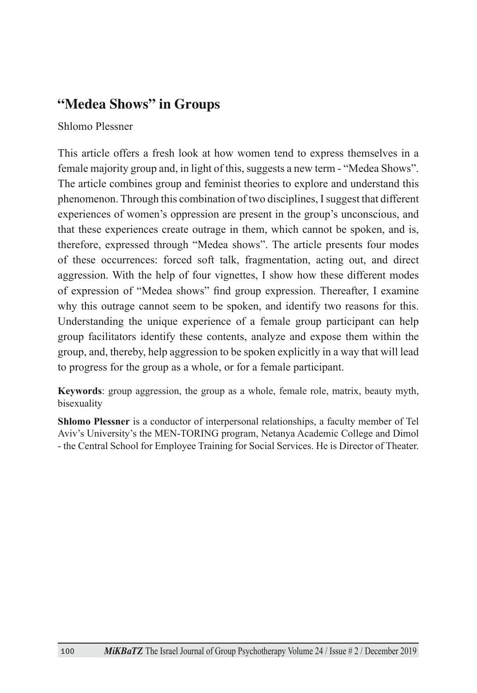### **"Medea Shows" in Groups**

Shlomo Plessner

This article offers a fresh look at how women tend to express themselves in a female majority group and, in light of this, suggests a new term - "Medea Shows". The article combines group and feminist theories to explore and understand this phenomenon. Through this combination of two disciplines, I suggest that different experiences of women's oppression are present in the group's unconscious, and that these experiences create outrage in them, which cannot be spoken, and is, therefore, expressed through "Medea shows". The article presents four modes of these occurrences: forced soft talk, fragmentation, acting out, and direct aggression. With the help of four vignettes, I show how these different modes of expression of "Medea shows" find group expression. Thereafter, I examine why this outrage cannot seem to be spoken, and identify two reasons for this. Understanding the unique experience of a female group participant can help group facilitators identify these contents, analyze and expose them within the group, and, thereby, help aggression to be spoken explicitly in a way that will lead to progress for the group as a whole, or for a female participant.

**Keywords**: group aggression, the group as a whole, female role, matrix, beauty myth, bisexuality

**Shlomo Plessner** is a conductor of interpersonal relationships, a faculty member of Tel Aviv's University's the MEN-TORING program, Netanya Academic College and Dimol - the Central School for Employee Training for Social Services. He is Director of Theater.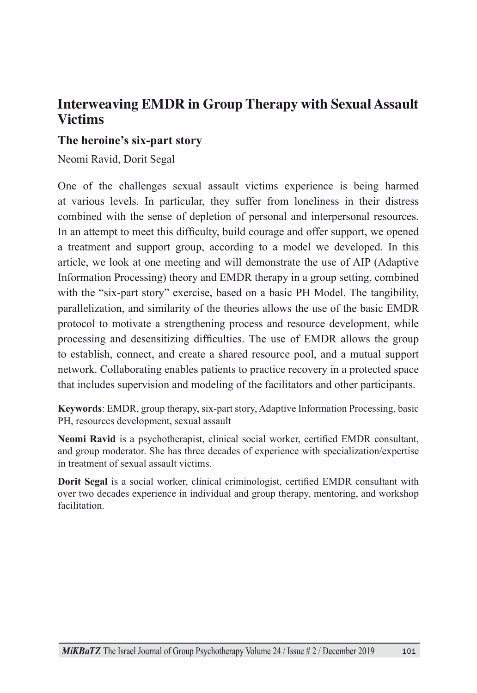#### **Interweaving EMDR in Group Therapy with Sexual Assault Victims**

#### **The heroine's six-part story**

Neomi Ravid, Dorit Segal

One of the challenges sexual assault victims experience is being harmed at various levels. In particular, they suffer from loneliness in their distress combined with the sense of depletion of personal and interpersonal resources. In an attempt to meet this difficulty, build courage and offer support, we opened a treatment and support group, according to a model we developed. In this article, we look at one meeting and will demonstrate the use of AIP (Adaptive Information Processing) theory and EMDR therapy in a group setting, combined with the "six-part story" exercise, based on a basic PH Model. The tangibility, parallelization, and similarity of the theories allows the use of the basic EMDR protocol to motivate a strengthening process and resource development, while processing and desensitizing difficulties. The use of EMDR allows the group to establish, connect, and create a shared resource pool, and a mutual support network. Collaborating enables patients to practice recovery in a protected space that includes supervision and modeling of the facilitators and other participants.

**Keywords**: EMDR, group therapy, six-part story, Adaptive Information Processing, basic PH, resources development, sexual assault

**Neomi Ravid** is a psychotherapist, clinical social worker, certified EMDR consultant, and group moderator. She has three decades of experience with specialization/expertise in treatment of sexual assault victims.

**Dorit Segal** is a social worker, clinical criminologist, certified EMDR consultant with over two decades experience in individual and group therapy, mentoring, and workshop facilitation.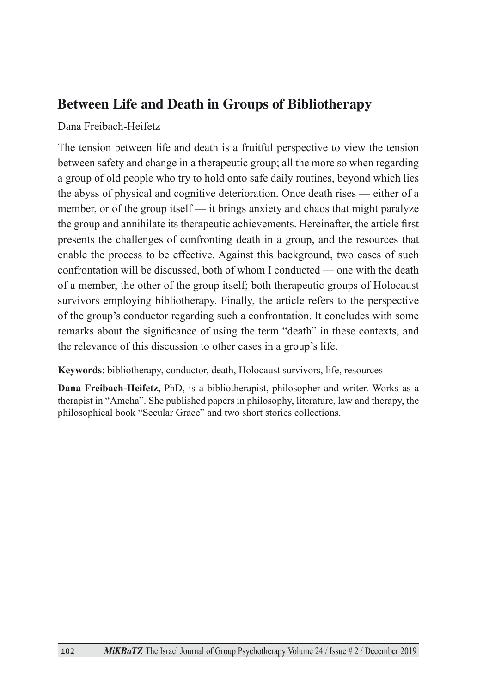#### **Between Life and Death in Groups of Bibliotherapy**

Dana Freibach-Heifetz

The tension between life and death is a fruitful perspective to view the tension between safety and change in a therapeutic group; all the more so when regarding a group of old people who try to hold onto safe daily routines, beyond which lies the abyss of physical and cognitive deterioration. Once death rises — either of a member, or of the group itself — it brings anxiety and chaos that might paralyze the group and annihilate its therapeutic achievements. Hereinafter, the article first presents the challenges of confronting death in a group, and the resources that enable the process to be effective. Against this background, two cases of such confrontation will be discussed, both of whom I conducted — one with the death of a member, the other of the group itself; both therapeutic groups of Holocaust survivors employing bibliotherapy. Finally, the article refers to the perspective of the group's conductor regarding such a confrontation. It concludes with some remarks about the significance of using the term "death" in these contexts, and the relevance of this discussion to other cases in a group's life.

**Keywords**: bibliotherapy, conductor, death, Holocaust survivors, life, resources

**Dana Freibach-Heifetz,** PhD, is a bibliotherapist, philosopher and writer. Works as a therapist in "Amcha". She published papers in philosophy, literature, law and therapy, the philosophical book "Secular Grace" and two short stories collections.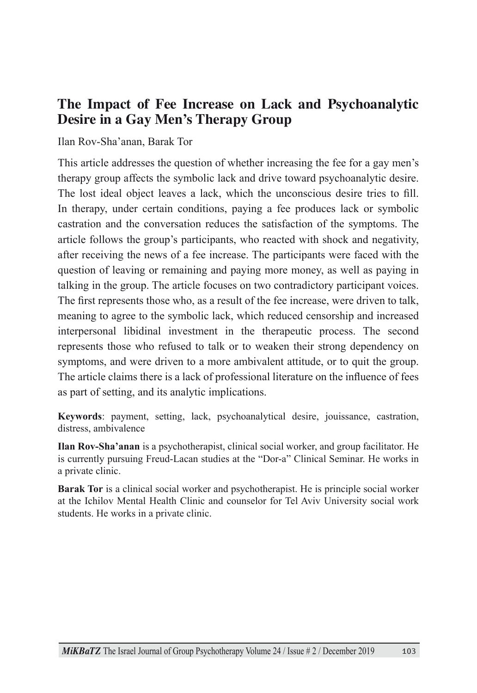#### **The Impact of Fee Increase on Lack and Psychoanalytic Desire in a Gay Men's Therapy Group**

#### Ilan Rov-Sha'anan, Barak Tor

This article addresses the question of whether increasing the fee for a gay men's therapy group affects the symbolic lack and drive toward psychoanalytic desire. The lost ideal object leaves a lack, which the unconscious desire tries to fill. In therapy, under certain conditions, paying a fee produces lack or symbolic castration and the conversation reduces the satisfaction of the symptoms. The article follows the group's participants, who reacted with shock and negativity, after receiving the news of a fee increase. The participants were faced with the question of leaving or remaining and paying more money, as well as paying in talking in the group. The article focuses on two contradictory participant voices. The first represents those who, as a result of the fee increase, were driven to talk, meaning to agree to the symbolic lack, which reduced censorship and increased interpersonal libidinal investment in the therapeutic process. The second represents those who refused to talk or to weaken their strong dependency on symptoms, and were driven to a more ambivalent attitude, or to quit the group. The article claims there is a lack of professional literature on the influence of fees as part of setting, and its analytic implications.

**Keywords**: payment, setting, lack, psychoanalytical desire, jouissance, castration, distress, ambivalence

**Ilan Rov-Sha'anan** is a psychotherapist, clinical social worker, and group facilitator. He is currently pursuing Freud-Lacan studies at the "Dor-a" Clinical Seminar. He works in a private clinic.

**Barak Tor** is a clinical social worker and psychotherapist. He is principle social worker at the Ichilov Mental Health Clinic and counselor for Tel Aviv University social work students. He works in a private clinic.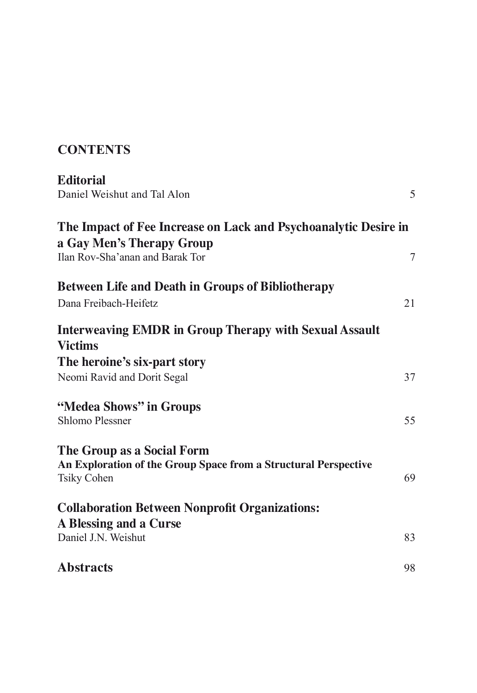### **Contents**

| <b>Editorial</b><br>Daniel Weishut and Tal Alon                                                                     | 5      |
|---------------------------------------------------------------------------------------------------------------------|--------|
| The Impact of Fee Increase on Lack and Psychoanalytic Desire in<br>a Gay Men's Therapy Group                        |        |
| Ilan Rov-Sha'anan and Barak Tor<br><b>Between Life and Death in Groups of Bibliotherapy</b>                         | $\tau$ |
| Dana Freibach-Heifetz                                                                                               | 21     |
| <b>Interweaving EMDR in Group Therapy with Sexual Assault</b><br><b>Victims</b>                                     |        |
| The heroine's six-part story<br>Neomi Ravid and Dorit Segal                                                         | 37     |
| "Medea Shows" in Groups<br><b>Shlomo Plessner</b>                                                                   | 55     |
| The Group as a Social Form<br>An Exploration of the Group Space from a Structural Perspective<br><b>Tsiky Cohen</b> | 69     |
| <b>Collaboration Between Nonprofit Organizations:</b>                                                               |        |
| A Blessing and a Curse<br>Daniel J.N. Weishut                                                                       | 83     |
| <b>Abstracts</b>                                                                                                    | 98     |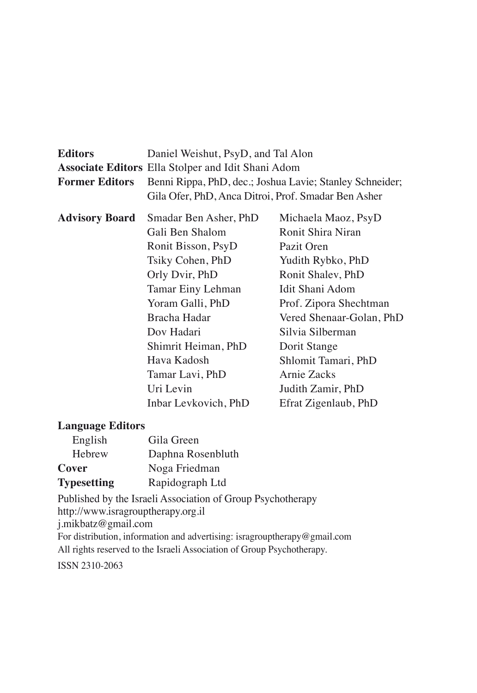| <b>Editors</b>        | Daniel Weishut, PsyD, and Tal Alon                        |                          |
|-----------------------|-----------------------------------------------------------|--------------------------|
|                       | <b>Associate Editors Ella Stolper and Idit Shani Adom</b> |                          |
| <b>Former Editors</b> | Benni Rippa, PhD, dec.; Joshua Lavie; Stanley Schneider;  |                          |
|                       | Gila Ofer, PhD, Anca Ditroi, Prof. Smadar Ben Asher       |                          |
| <b>Advisory Board</b> | Smadar Ben Asher, PhD                                     | Michaela Maoz, PsyD      |
|                       | Gali Ben Shalom                                           | Ronit Shira Niran        |
|                       | Ronit Bisson, PsyD                                        | Pazit Oren               |
|                       | Tsiky Cohen, PhD                                          | Yudith Rybko, PhD        |
|                       | Orly Dvir, PhD                                            | Ronit Shalev, PhD        |
|                       | Tamar Einy Lehman                                         | Idit Shani Adom          |
|                       | Yoram Galli, PhD                                          | Prof. Zipora Shechtman   |
|                       | Bracha Hadar                                              | Vered Shenaar-Golan, PhD |
|                       | Dov Hadari                                                | Silvia Silberman         |
|                       | Shimrit Heiman, PhD                                       | Dorit Stange             |
|                       | Hava Kadosh                                               | Shlomit Tamari, PhD      |
|                       | Tamar Lavi, PhD                                           | Arnie Zacks              |
|                       | Uri Levin                                                 | Judith Zamir, PhD        |
|                       | Inbar Levkovich, PhD                                      | Efrat Zigenlaub, PhD     |
|                       |                                                           |                          |

#### **Language Editors**

| English            | Gila Green        |
|--------------------|-------------------|
| Hebrew             | Daphna Rosenbluth |
| Cover              | Noga Friedman     |
| <b>Typesetting</b> | Rapidograph Ltd   |

Published by the Israeli Association of Group Psychotherapy http://www.isragrouptherapy.org.il j.mikbatz@gmail.com For distribution, information and advertising: isragrouptherapy@gmail.com All rights reserved to the Israeli Association of Group Psychotherapy.

ISSN 2310-2063